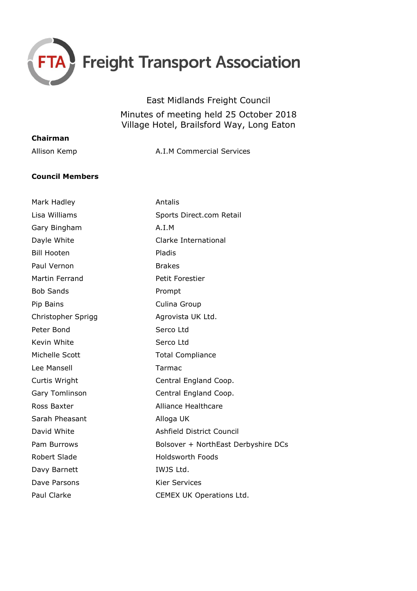

East Midlands Freight Council

Minutes of meeting held 25 October 2018 Village Hotel, Brailsford Way, Long Eaton

| Chairman     |                           |
|--------------|---------------------------|
| Allison Kemp | A.I.M Commercial Services |
|              |                           |

## **Council Members**

| Mark Hadley           | Antalis                             |
|-----------------------|-------------------------------------|
| Lisa Williams         | Sports Direct.com Retail            |
| Gary Bingham          | A.I.M                               |
| Dayle White           | Clarke International                |
| <b>Bill Hooten</b>    | Pladis                              |
| Paul Vernon           | <b>Brakes</b>                       |
| <b>Martin Ferrand</b> | Petit Forestier                     |
| <b>Bob Sands</b>      | Prompt                              |
| Pip Bains             | Culina Group                        |
| Christopher Sprigg    | Agrovista UK Ltd.                   |
| Peter Bond            | Serco Ltd                           |
| Kevin White           | Serco Ltd                           |
| Michelle Scott        | <b>Total Compliance</b>             |
| Lee Mansell           | Tarmac                              |
| Curtis Wright         | Central England Coop.               |
| Gary Tomlinson        | Central England Coop.               |
| Ross Baxter           | <b>Alliance Healthcare</b>          |
| Sarah Pheasant        | Alloga UK                           |
| David White           | Ashfield District Council           |
| Pam Burrows           | Bolsover + NorthEast Derbyshire DCs |
| Robert Slade          | <b>Holdsworth Foods</b>             |
| Davy Barnett          | IWJS Ltd.                           |
| Dave Parsons          | <b>Kier Services</b>                |
| <b>Paul Clarke</b>    | CEMEX UK Operations Ltd.            |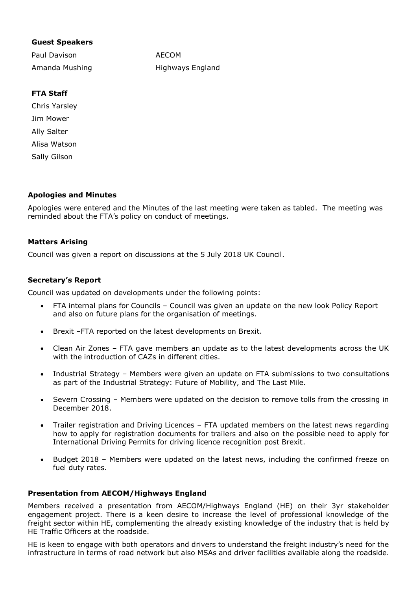## **Guest Speakers**

Paul Davison Amanda Mushing AECOM Highways England

# **FTA Staff**

Chris Yarsley Jim Mower Ally Salter Alisa Watson Sally Gilson

## **Apologies and Minutes**

Apologies were entered and the Minutes of the last meeting were taken as tabled. The meeting was reminded about the FTA's policy on conduct of meetings.

## **Matters Arising**

Council was given a report on discussions at the 5 July 2018 UK Council.

## **Secretary's Report**

Council was updated on developments under the following points:

- FTA internal plans for Councils Council was given an update on the new look Policy Report and also on future plans for the organisation of meetings.
- Brexit –FTA reported on the latest developments on Brexit.
- Clean Air Zones FTA gave members an update as to the latest developments across the UK with the introduction of CAZs in different cities.
- Industrial Strategy Members were given an update on FTA submissions to two consultations as part of the Industrial Strategy: Future of Mobility, and The Last Mile.
- Severn Crossing Members were updated on the decision to remove tolls from the crossing in December 2018.
- Trailer registration and Driving Licences FTA updated members on the latest news regarding how to apply for registration documents for trailers and also on the possible need to apply for International Driving Permits for driving licence recognition post Brexit.
- Budget 2018 Members were updated on the latest news, including the confirmed freeze on fuel duty rates.

## **Presentation from AECOM/Highways England**

Members received a presentation from AECOM/Highways England (HE) on their 3yr stakeholder engagement project. There is a keen desire to increase the level of professional knowledge of the freight sector within HE, complementing the already existing knowledge of the industry that is held by HE Traffic Officers at the roadside.

HE is keen to engage with both operators and drivers to understand the freight industry's need for the infrastructure in terms of road network but also MSAs and driver facilities available along the roadside.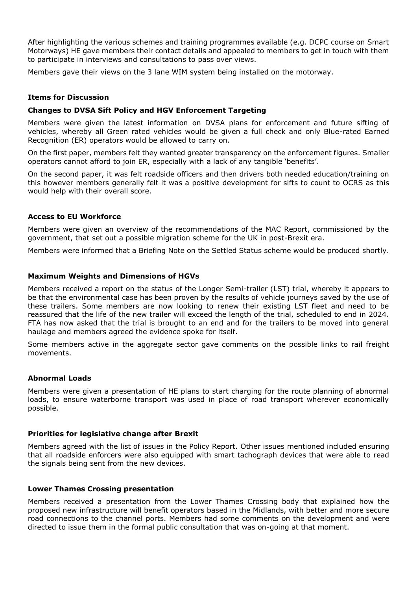After highlighting the various schemes and training programmes available (e.g. DCPC course on Smart Motorways) HE gave members their contact details and appealed to members to get in touch with them to participate in interviews and consultations to pass over views.

Members gave their views on the 3 lane WIM system being installed on the motorway.

### **Items for Discussion**

#### **Changes to DVSA Sift Policy and HGV Enforcement Targeting**

Members were given the latest information on DVSA plans for enforcement and future sifting of vehicles, whereby all Green rated vehicles would be given a full check and only Blue-rated Earned Recognition (ER) operators would be allowed to carry on.

On the first paper, members felt they wanted greater transparency on the enforcement figures. Smaller operators cannot afford to join ER, especially with a lack of any tangible 'benefits'.

On the second paper, it was felt roadside officers and then drivers both needed education/training on this however members generally felt it was a positive development for sifts to count to OCRS as this would help with their overall score.

#### **Access to EU Workforce**

Members were given an overview of the recommendations of the MAC Report, commissioned by the government, that set out a possible migration scheme for the UK in post-Brexit era.

Members were informed that a Briefing Note on the Settled Status scheme would be produced shortly.

#### **Maximum Weights and Dimensions of HGVs**

Members received a report on the status of the Longer Semi-trailer (LST) trial, whereby it appears to be that the environmental case has been proven by the results of vehicle journeys saved by the use of these trailers. Some members are now looking to renew their existing LST fleet and need to be reassured that the life of the new trailer will exceed the length of the trial, scheduled to end in 2024. FTA has now asked that the trial is brought to an end and for the trailers to be moved into general haulage and members agreed the evidence spoke for itself.

Some members active in the aggregate sector gave comments on the possible links to rail freight movements.

#### **Abnormal Loads**

Members were given a presentation of HE plans to start charging for the route planning of abnormal loads, to ensure waterborne transport was used in place of road transport wherever economically possible.

#### **Priorities for legislative change after Brexit**

Members agreed with the list of issues in the Policy Report. Other issues mentioned included ensuring that all roadside enforcers were also equipped with smart tachograph devices that were able to read the signals being sent from the new devices.

#### **Lower Thames Crossing presentation**

Members received a presentation from the Lower Thames Crossing body that explained how the proposed new infrastructure will benefit operators based in the Midlands, with better and more secure road connections to the channel ports. Members had some comments on the development and were directed to issue them in the formal public consultation that was on-going at that moment.